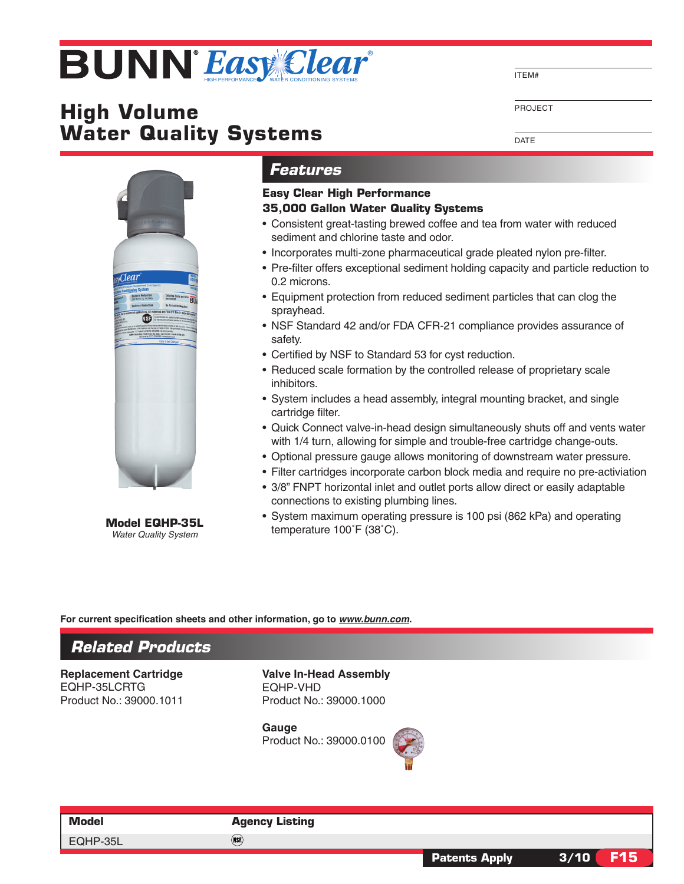# **Easy Clear**

# **High Volume Water Quality Systems**

ITEM#

PROJECT

**DATE** 



*Water Quality System*

## *Features*

### **Easy Clear High Performance**

#### **35,000 Gallon Water Quality Systems**

- Consistent great-tasting brewed coffee and tea from water with reduced sediment and chlorine taste and odor.
- Incorporates multi-zone pharmaceutical grade pleated nylon pre-filter.
- • Pre-filter offers exceptional sediment holding capacity and particle reduction to 0.2 microns.
- Equipment protection from reduced sediment particles that can clog the sprayhead.
- NSF Standard 42 and/or FDA CFR-21 compliance provides assurance of safety.
- Certified by NSF to Standard 53 for cyst reduction.
- Reduced scale formation by the controlled release of proprietary scale inhibitors.
- System includes a head assembly, integral mounting bracket, and single cartridge filter.
- Quick Connect valve-in-head design simultaneously shuts off and vents water with 1/4 turn, allowing for simple and trouble-free cartridge change-outs.
- • Optional pressure gauge allows monitoring of downstream water pressure.
- Filter cartridges incorporate carbon block media and require no pre-activiation
- 3/8" FNPT horizontal inlet and outlet ports allow direct or easily adaptable connections to existing plumbing lines.
- System maximum operating pressure is 100 psi (862 kPa) and operating **Model EQHP-35L** temperature 100°F (38°C).

#### **For current specification sheets and other information, go to** *www.bunn.com***.**